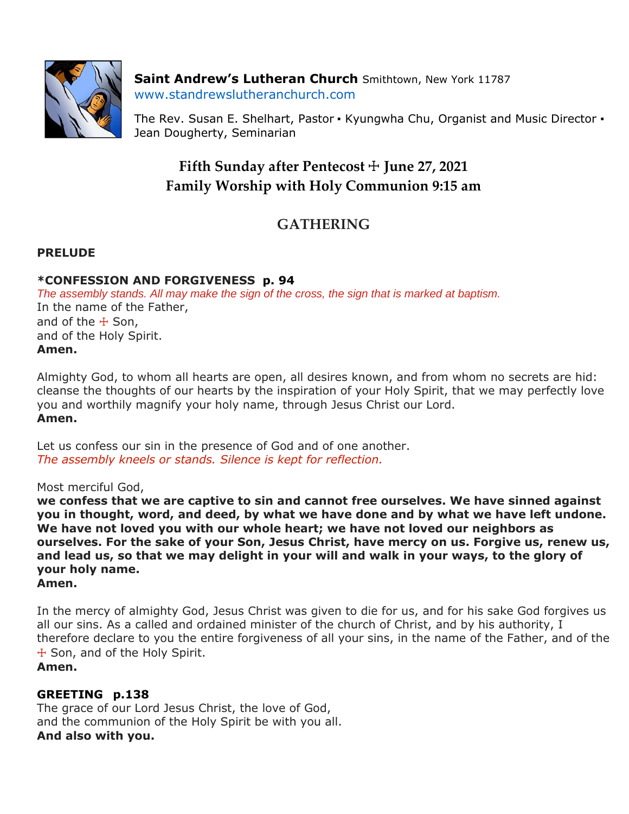

**Saint Andrew's Lutheran Church** Smithtown, New York 11787 www.standrewslutheranchurch.com

The Rev. Susan E. Shelhart, Pastor • Kyungwha Chu, Organist and Music Director • Jean Dougherty, Seminarian

# **Fifth Sunday after Pentecost** ☩ **June 27, 2021 Family Worship with Holy Communion 9:15 am**

# **GATHERING**

# **PRELUDE**

# **\*CONFESSION AND FORGIVENESS p. 94**

*The assembly stands. All may make the sign of the cross, the sign that is marked at baptism.* In the name of the Father, and of the  $+$  Son, and of the Holy Spirit. **Amen.**

Almighty God, to whom all hearts are open, all desires known, and from whom no secrets are hid: cleanse the thoughts of our hearts by the inspiration of your Holy Spirit, that we may perfectly love you and worthily magnify your holy name, through Jesus Christ our Lord. **Amen.**

Let us confess our sin in the presence of God and of one another. *The assembly kneels or stands. Silence is kept for reflection.*

#### Most merciful God,

**we confess that we are captive to sin and cannot free ourselves. We have sinned against you in thought, word, and deed, by what we have done and by what we have left undone. We have not loved you with our whole heart; we have not loved our neighbors as ourselves. For the sake of your Son, Jesus Christ, have mercy on us. Forgive us, renew us,** and lead us, so that we may delight in your will and walk in your ways, to the glory of **your holy name.**

**Amen.**

In the mercy of almighty God, Jesus Christ was given to die for us, and for his sake God forgives us all our sins. As a called and ordained minister of the church of Christ, and by his authority, I therefore declare to you the entire forgiveness of all your sins, in the name of the Father, and of the  $+$  Son, and of the Holy Spirit. **Amen.**

**GREETING p.138** The grace of our Lord Jesus Christ, the love of God, and the communion of the Holy Spirit be with you all. **And also with you.**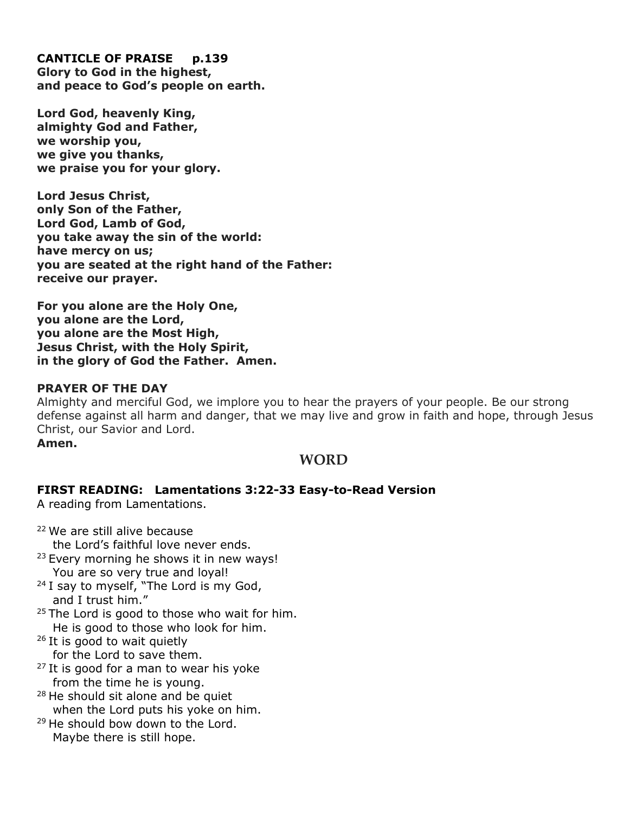**CANTICLE OF PRAISE p.139 Glory to God in the highest, and peace to God's people on earth.**

**Lord God, heavenly King, almighty God and Father, we worship you, we give you thanks, we praise you for your glory.**

**Lord Jesus Christ, only Son of the Father, Lord God, Lamb of God, you take away the sin of the world: have mercy on us; you are seated at the right hand of the Father: receive our prayer.**

**For you alone are the Holy One, you alone are the Lord, you alone are the Most High, Jesus Christ, with the Holy Spirit, in the glory of God the Father. Amen.**

#### **PRAYER OF THE DAY**

Almighty and merciful God, we implore you to hear the prayers of your people. Be our strong defense against all harm and danger, that we may live and grow in faith and hope, through Jesus Christ, our Savior and Lord. **Amen.**

**WORD**

# **FIRST READING: Lamentations 3:22-33 Easy-to-Read Version**

A reading from Lamentations.

- <sup>22</sup> We are still alive because the Lord's faithful love never ends.
- $23$  Every morning he shows it in new ways! You are so very true and loyal!
- $24$  I say to myself, "The Lord is my God, and I trust him."
- <sup>25</sup> The Lord is good to those who wait for him. He is good to those who look for him.
- $26$  It is good to wait quietly for the Lord to save them.
- $27$  It is good for a man to wear his yoke from the time he is young.
- <sup>28</sup> He should sit alone and be quiet when the Lord puts his yoke on him.
- <sup>29</sup> He should bow down to the Lord. Maybe there is still hope.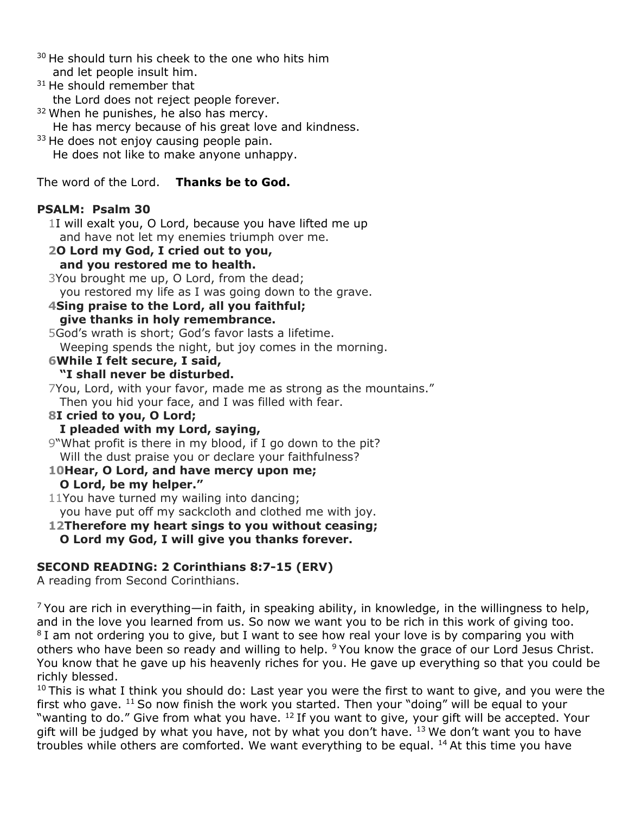<sup>30</sup> He should turn his cheek to the one who hits him and let people insult him.

 $31$  He should remember that

the Lord does not reject people forever.

 $32$  When he punishes, he also has mercy.

He has mercy because of his great love and kindness.

 $33$  He does not enjoy causing people pain.

He does not like to make anyone unhappy.

The word of the Lord. **Thanks be to God.**

# **PSALM: Psalm 30**

1I will exalt you, O Lord, because you have lifted me up and have not let my enemies triumph over me.

#### **2O Lord my God, I cried out to you, and you restored me to health.**

3You brought me up, O Lord, from the dead; you restored my life as I was going down to the grave.

#### **4Sing praise to the Lord, all you faithful; give thanks in holy remembrance.**

5God's wrath is short; God's favor lasts a lifetime.

Weeping spends the night, but joy comes in the morning.

# **6While I felt secure, I said,**

# **"I shall never be disturbed.**

7You, Lord, with your favor, made me as strong as the mountains." Then you hid your face, and I was filled with fear.

# **8I cried to you, O Lord;**

# **I pleaded with my Lord, saying,**

9"What profit is there in my blood, if I go down to the pit? Will the dust praise you or declare your faithfulness?

# **10Hear, O Lord, and have mercy upon me;**

# **O Lord, be my helper."**

11You have turned my wailing into dancing; you have put off my sackcloth and clothed me with joy.

# **12Therefore my heart sings to you without ceasing;**

**O Lord my God, I will give you thanks forever.**

# **SECOND READING: 2 Corinthians 8:7-15 (ERV)**

A reading from Second Corinthians.

 $7$  You are rich in everything—in faith, in speaking ability, in knowledge, in the willingness to help, and in the love you learned from us. So now we want you to be rich in this work of giving too. <sup>8</sup>I am not ordering you to give, but I want to see how real your love is by comparing you with others who have been so ready and willing to help. <sup>9</sup> You know the grace of our Lord Jesus Christ. You know that he gave up his heavenly riches for you. He gave up everything so that you could be richly blessed.

 $10$  This is what I think you should do: Last year you were the first to want to give, and you were the first who gave.  $11$  So now finish the work you started. Then your "doing" will be equal to your "wanting to do." Give from what you have.  $^{12}$  If you want to give, your gift will be accepted. Your gift will be judged by what you have, not by what you don't have. <sup>13</sup> We don't want you to have troubles while others are comforted. We want everything to be equal.  $^{14}$  At this time you have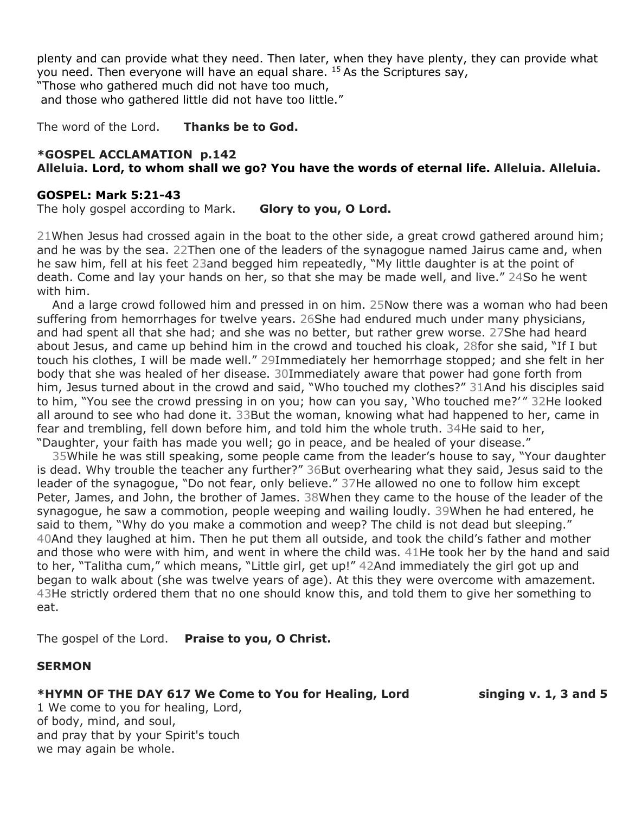plenty and can provide what they need. Then later, when they have plenty, they can provide what you need. Then everyone will have an equal share. <sup>15</sup> As the Scriptures say,

"Those who gathered much did not have too much,

and those who gathered little did not have too little."

The word of the Lord. **Thanks be to God.**

### **\*GOSPEL ACCLAMATION p.142 Alleluia. Lord, to whom shall we go? You have the words of eternal life. Alleluia. Alleluia.**

#### **GOSPEL: Mark 5:21-43**

The holy gospel according to Mark. **Glory to you, O Lord.**

21When Jesus had crossed again in the boat to the other side, a great crowd gathered around him; and he was by the sea. 22Then one of the leaders of the synagogue named Jairus came and, when he saw him, fell at his feet 23and begged him repeatedly, "My little daughter is at the point of death. Come and lay your hands on her, so that she may be made well, and live." 24So he went with him.

And a large crowd followed him and pressed in on him. 25Now there was a woman who had been suffering from hemorrhages for twelve years. 26She had endured much under many physicians, and had spent all that she had; and she was no better, but rather grew worse. 27She had heard about Jesus, and came up behind him in the crowd and touched his cloak, 28for she said, "If I but touch his clothes, I will be made well." 29Immediately her hemorrhage stopped; and she felt in her body that she was healed of her disease. 30Immediately aware that power had gone forth from him, Jesus turned about in the crowd and said, "Who touched my clothes?" 31And his disciples said to him, "You see the crowd pressing in on you; how can you say, 'Who touched me?' " 32He looked all around to see who had done it. 33But the woman, knowing what had happened to her, came in fear and trembling, fell down before him, and told him the whole truth. 34He said to her, "Daughter, your faith has made you well; go in peace, and be healed of your disease."

35While he was still speaking, some people came from the leader's house to say, "Your daughter is dead. Why trouble the teacher any further?" 36But overhearing what they said, Jesus said to the leader of the synagogue, "Do not fear, only believe." 37He allowed no one to follow him except Peter, James, and John, the brother of James. 38When they came to the house of the leader of the synagogue, he saw a commotion, people weeping and wailing loudly. 39When he had entered, he said to them, "Why do you make a commotion and weep? The child is not dead but sleeping." 40And they laughed at him. Then he put them all outside, and took the child's father and mother and those who were with him, and went in where the child was. 41He took her by the hand and said to her, "Talitha cum," which means, "Little girl, get up!" 42And immediately the girl got up and began to walk about (she was twelve years of age). At this they were overcome with amazement. 43He strictly ordered them that no one should know this, and told them to give her something to eat.

The gospel of the Lord. **Praise to you, O Christ.**

#### **SERMON**

#### **\*HYMN OF THE DAY 617 We Come to You for Healing, Lord singing v. 1, 3 and 5**

1 We come to you for healing, Lord, of body, mind, and soul, and pray that by your Spirit's touch we may again be whole.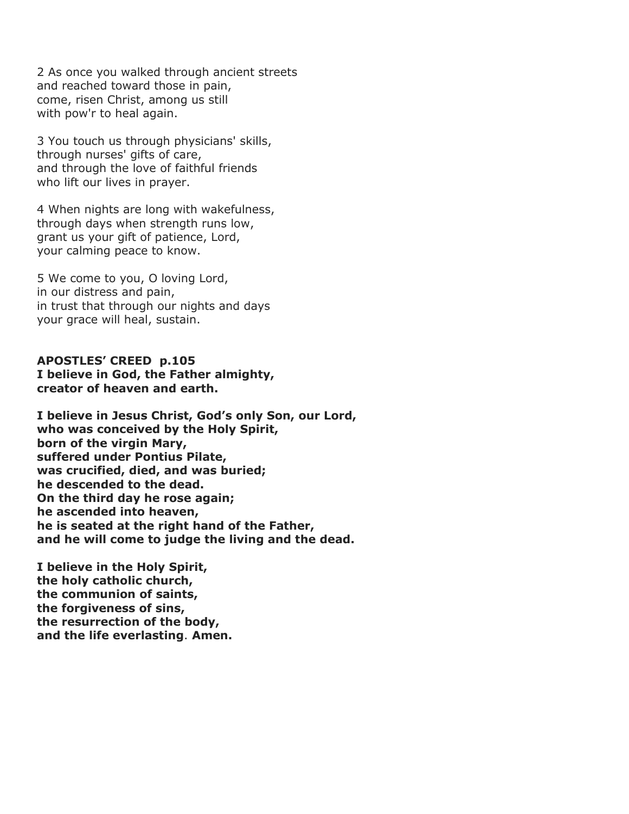2 As once you walked through ancient streets and reached toward those in pain, come, risen Christ, among us still with pow'r to heal again.

3 You touch us through physicians' skills, through nurses' gifts of care, and through the love of faithful friends who lift our lives in prayer.

4 When nights are long with wakefulness, through days when strength runs low, grant us your gift of patience, Lord, your calming peace to know.

5 We come to you, O loving Lord, in our distress and pain, in trust that through our nights and days your grace will heal, sustain.

#### **APOSTLES' CREED p.105 I believe in God, the Father almighty, creator of heaven and earth.**

**I believe in Jesus Christ, God's only Son, our Lord, who was conceived by the Holy Spirit, born of the virgin Mary, suffered under Pontius Pilate, was crucified, died, and was buried; he descended to the dead. On the third day he rose again; he ascended into heaven, he is seated at the right hand of the Father, and he will come to judge the living and the dead.**

**I believe in the Holy Spirit, the holy catholic church, the communion of saints, the forgiveness of sins, the resurrection of the body, and the life everlasting**. **Amen.**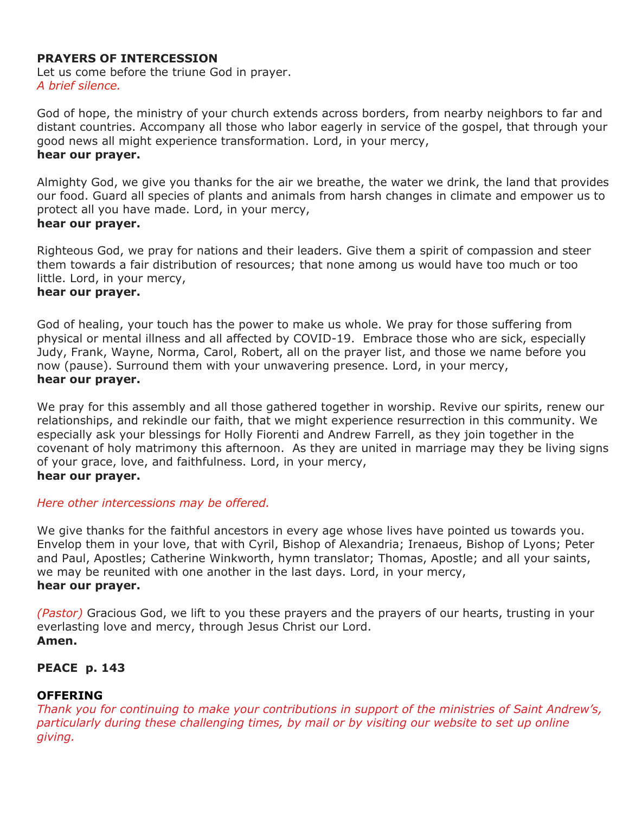### **PRAYERS OF INTERCESSION**

Let us come before the triune God in prayer. *A brief silence.*

God of hope, the ministry of your church extends across borders, from nearby neighbors to far and distant countries. Accompany all those who labor eagerly in service of the gospel, that through your good news all might experience transformation. Lord, in your mercy, **hear our prayer.**

Almighty God, we give you thanks for the air we breathe, the water we drink, the land that provides our food. Guard all species of plants and animals from harsh changes in climate and empower us to protect all you have made. Lord, in your mercy, **hear our prayer.**

Righteous God, we pray for nations and their leaders. Give them a spirit of compassion and steer them towards a fair distribution of resources; that none among us would have too much or too little. Lord, in your mercy,

#### **hear our prayer.**

God of healing, your touch has the power to make us whole. We pray for those suffering from physical or mental illness and all affected by COVID-19. Embrace those who are sick, especially Judy, Frank, Wayne, Norma, Carol, Robert, all on the prayer list, and those we name before you now (pause). Surround them with your unwavering presence. Lord, in your mercy, **hear our prayer.**

We pray for this assembly and all those gathered together in worship. Revive our spirits, renew our relationships, and rekindle our faith, that we might experience resurrection in this community. We especially ask your blessings for Holly Fiorenti and Andrew Farrell, as they join together in the covenant of holy matrimony this afternoon. As they are united in marriage may they be living signs of your grace, love, and faithfulness. Lord, in your mercy, **hear our prayer.**

#### *Here other intercessions may be offered.*

We give thanks for the faithful ancestors in every age whose lives have pointed us towards you. Envelop them in your love, that with Cyril, Bishop of Alexandria; Irenaeus, Bishop of Lyons; Peter and Paul, Apostles; Catherine Winkworth, hymn translator; Thomas, Apostle; and all your saints, we may be reunited with one another in the last days. Lord, in your mercy, **hear our prayer.**

*(Pastor)* Gracious God, we lift to you these prayers and the prayers of our hearts, trusting in your everlasting love and mercy, through Jesus Christ our Lord. **Amen.**

#### **PEACE p. 143**

# **OFFERING**

*Thank you for continuing to make your contributions in support of the ministries of Saint Andrew's, particularly during these challenging times, by mail or by visiting our website to set up online giving.*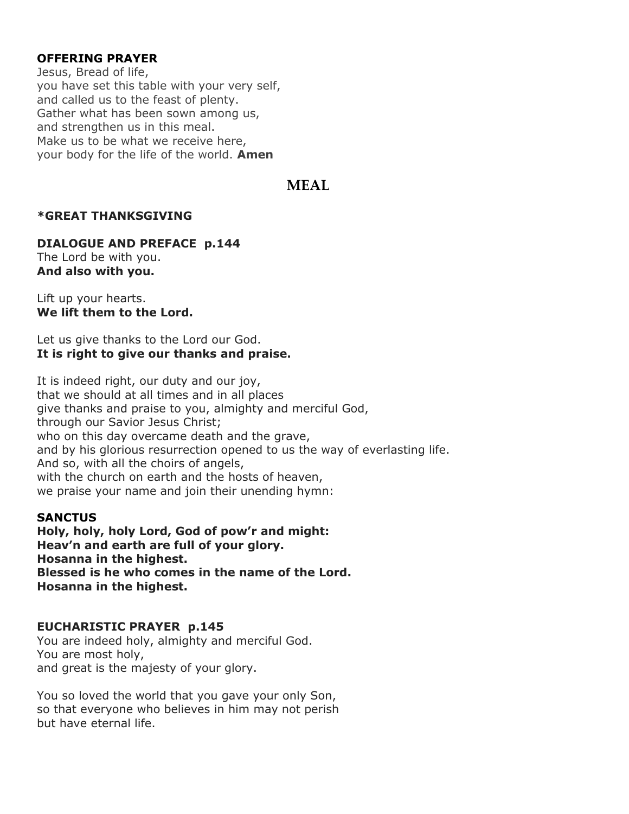# **OFFERING PRAYER**

Jesus, Bread of life, you have set this table with your very self, and called us to the feast of plenty. Gather what has been sown among us, and strengthen us in this meal. Make us to be what we receive here, your body for the life of the world. **Amen**

# **MEAL**

### **\*GREAT THANKSGIVING**

**DIALOGUE AND PREFACE p.144** The Lord be with you. **And also with you.**

Lift up your hearts. **We lift them to the Lord.**

Let us give thanks to the Lord our God. **It is right to give our thanks and praise.**

It is indeed right, our duty and our joy, that we should at all times and in all places give thanks and praise to you, almighty and merciful God, through our Savior Jesus Christ; who on this day overcame death and the grave, and by his glorious resurrection opened to us the way of everlasting life. And so, with all the choirs of angels, with the church on earth and the hosts of heaven. we praise your name and join their unending hymn:

#### **SANCTUS**

**Holy, holy, holy Lord, God of pow'r and might: Heav'n and earth are full of your glory. Hosanna in the highest. Blessed is he who comes in the name of the Lord. Hosanna in the highest.**

#### **EUCHARISTIC PRAYER p.145**

You are indeed holy, almighty and merciful God. You are most holy, and great is the majesty of your glory.

You so loved the world that you gave your only Son, so that everyone who believes in him may not perish but have eternal life.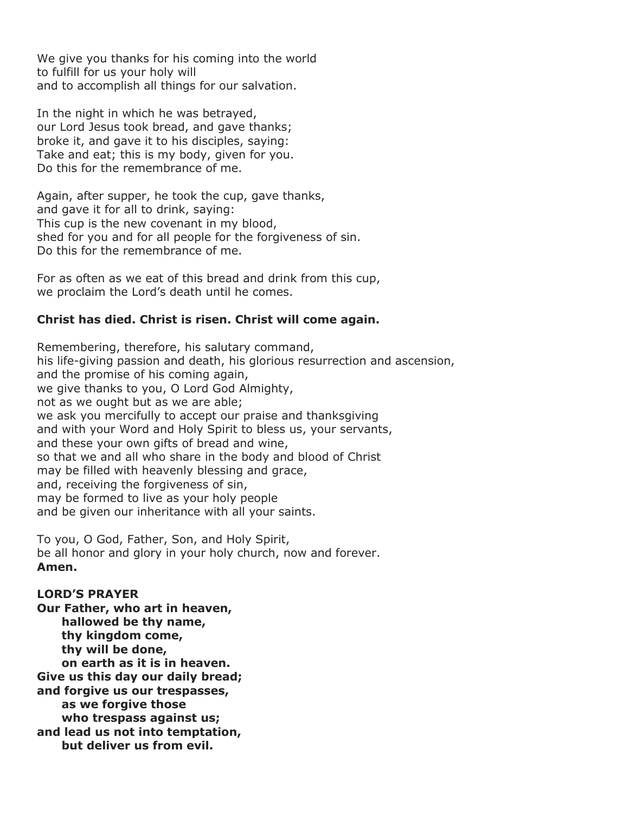We give you thanks for his coming into the world to fulfill for us your holy will and to accomplish all things for our salvation.

In the night in which he was betrayed, our Lord Jesus took bread, and gave thanks; broke it, and gave it to his disciples, saying: Take and eat; this is my body, given for you. Do this for the remembrance of me.

Again, after supper, he took the cup, gave thanks, and gave it for all to drink, saying: This cup is the new covenant in my blood, shed for you and for all people for the forgiveness of sin. Do this for the remembrance of me.

For as often as we eat of this bread and drink from this cup, we proclaim the Lord's death until he comes.

# **Christ has died. Christ is risen. Christ will come again.**

Remembering, therefore, his salutary command, his life-giving passion and death, his glorious resurrection and ascension, and the promise of his coming again, we give thanks to you, O Lord God Almighty, not as we ought but as we are able; we ask you mercifully to accept our praise and thanksgiving and with your Word and Holy Spirit to bless us, your servants, and these your own gifts of bread and wine, so that we and all who share in the body and blood of Christ may be filled with heavenly blessing and grace, and, receiving the forgiveness of sin, may be formed to live as your holy people and be given our inheritance with all your saints.

To you, O God, Father, Son, and Holy Spirit, be all honor and glory in your holy church, now and forever. **Amen.**

# **LORD'S PRAYER**

**Our Father, who art in heaven, hallowed be thy name, thy kingdom come, thy will be done, on earth as it is in heaven. Give us this day our daily bread; and forgive us our trespasses, as we forgive those who trespass against us; and lead us not into temptation, but deliver us from evil.**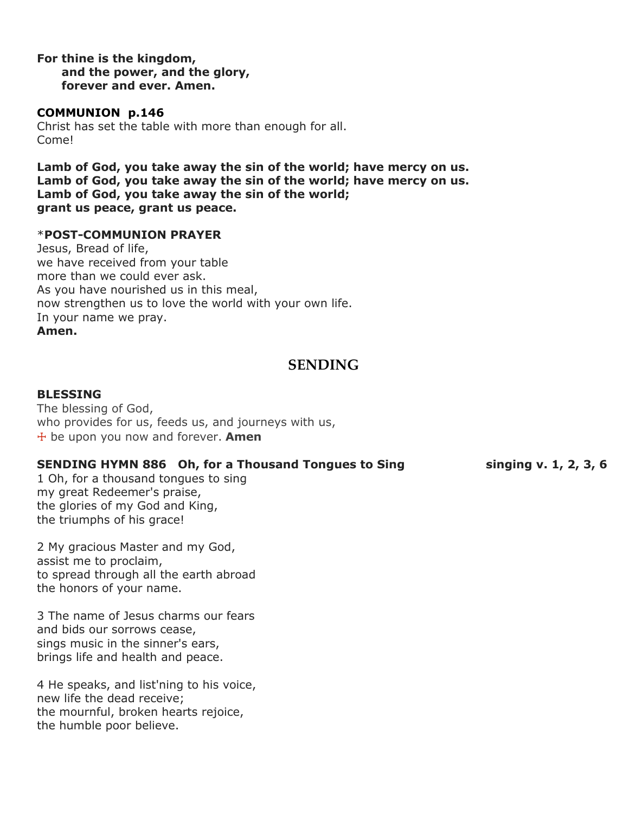#### **For thine is the kingdom, and the power, and the glory, forever and ever. Amen.**

#### **COMMUNION p.146**

Christ has set the table with more than enough for all. Come!

**Lamb of God, you take away the sin of the world; have mercy on us. Lamb of God, you take away the sin of the world; have mercy on us. Lamb of God, you take away the sin of the world; grant us peace, grant us peace.**

## \***POST-COMMUNION PRAYER**

Jesus, Bread of life, we have received from your table more than we could ever ask. As you have nourished us in this meal, now strengthen us to love the world with your own life. In your name we pray. **Amen.**

# **SENDING**

#### **BLESSING**

The blessing of God, who provides for us, feeds us, and journeys with us, ☩ be upon you now and forever. **Amen**

#### **SENDING HYMN 886 Oh, for a Thousand Tongues to Sing singing v. 1, 2, 3, 6**

1 Oh, for a thousand tongues to sing my great Redeemer's praise, the glories of my God and King, the triumphs of his grace!

2 My gracious Master and my God, assist me to proclaim, to spread through all the earth abroad the honors of your name.

3 The name of Jesus charms our fears and bids our sorrows cease, sings music in the sinner's ears, brings life and health and peace.

4 He speaks, and list'ning to his voice, new life the dead receive; the mournful, broken hearts rejoice, the humble poor believe.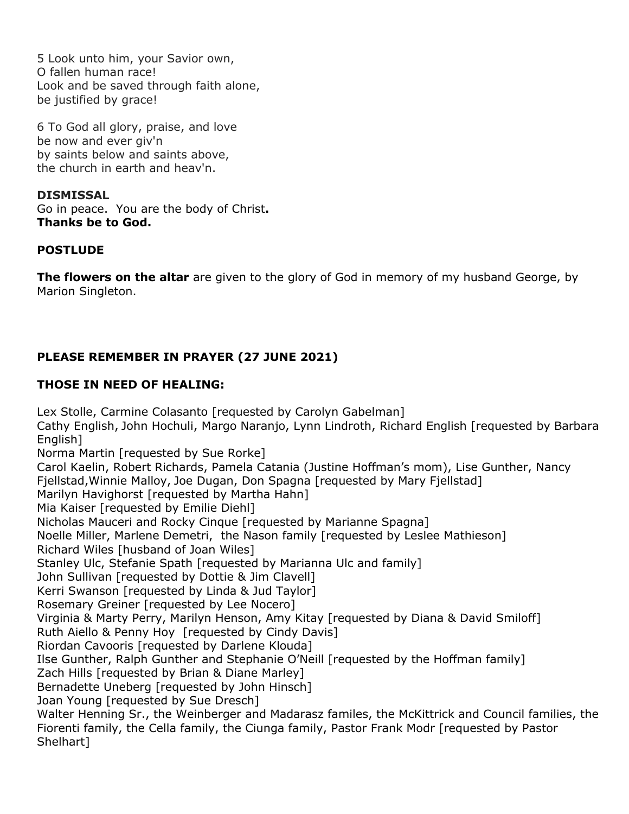5 Look unto him, your Savior own, O fallen human race! Look and be saved through faith alone, be justified by grace!

6 To God all glory, praise, and love be now and ever giv'n by saints below and saints above, the church in earth and heav'n.

# **DISMISSAL**

Go in peace. You are the body of Christ**. Thanks be to God.**

# **POSTLUDE**

**The flowers on the altar** are given to the glory of God in memory of my husband George, by Marion Singleton.

# **PLEASE REMEMBER IN PRAYER (27 JUNE 2021)**

# **THOSE IN NEED OF HEALING:**

Lex Stolle, Carmine Colasanto [requested by Carolyn Gabelman] Cathy English, John Hochuli, Margo Naranjo, Lynn Lindroth, Richard English [requested by Barbara English] Norma Martin [requested by Sue Rorke] Carol Kaelin, Robert Richards, Pamela Catania (Justine Hoffman's mom), Lise Gunther, Nancy Fjellstad,Winnie Malloy, Joe Dugan, Don Spagna [requested by Mary Fjellstad] Marilyn Havighorst [requested by Martha Hahn] Mia Kaiser [requested by Emilie Diehl] Nicholas Mauceri and Rocky Cinque [requested by Marianne Spagna] Noelle Miller, Marlene Demetri, the Nason family [requested by Leslee Mathieson] Richard Wiles [husband of Joan Wiles] Stanley Ulc, Stefanie Spath [requested by Marianna Ulc and family] John Sullivan [requested by Dottie & Jim Clavell] Kerri Swanson [requested by Linda & Jud Taylor] Rosemary Greiner [requested by Lee Nocero] Virginia & Marty Perry, Marilyn Henson, Amy Kitay [requested by Diana & David Smiloff] Ruth Aiello & Penny Hoy [requested by Cindy Davis] Riordan Cavooris [requested by Darlene Klouda] Ilse Gunther, Ralph Gunther and Stephanie O'Neill [requested by the Hoffman family] Zach Hills [requested by Brian & Diane Marley] Bernadette Uneberg [requested by John Hinsch] Joan Young [requested by Sue Dresch] Walter Henning Sr., the Weinberger and Madarasz familes, the McKittrick and Council families, the Fiorenti family, the Cella family, the Ciunga family, Pastor Frank Modr [requested by Pastor Shelhart]